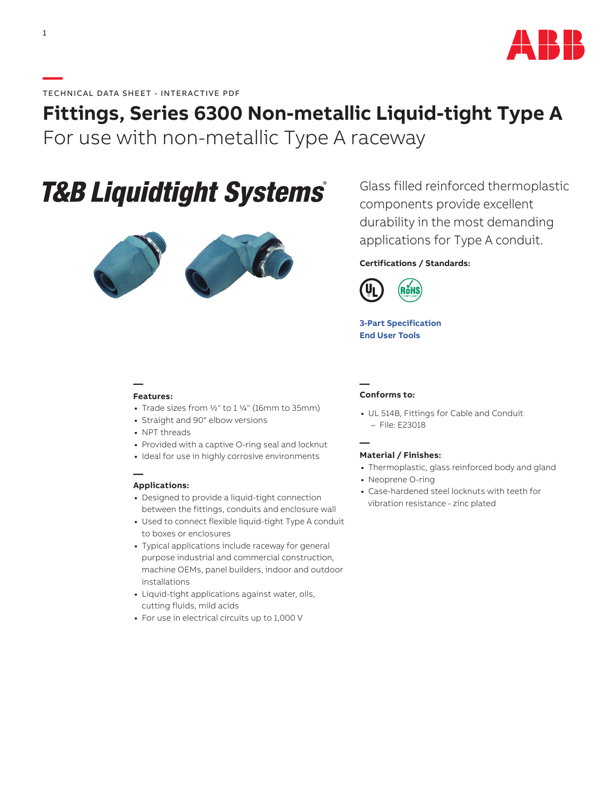

## **Fittings, Series 6300 Non-metallic Liquid-tight Type A**  For use with non-metallic Type A raceway

# **T&B Liquidtight Systems®**



Glass filled reinforced thermoplastic components provide excellent durability in the most demanding applications for Type A conduit.

### **Certifications / Standards:**



**[3-Part Specification](http://www-public.tnb.com/ps/pubint/specguide.cgi) [End User Tools](http://tnb.abb.com/pub/en/node/258)**

#### **— Features:**

- **•** Trade sizes from 1/2" to 1 1/4" (16mm to 35mm)
- **•** Straight and 90° elbow versions
- **•** NPT threads
- **•** Provided with a captive O-ring seal and locknut
- **•** Ideal for use in highly corrosive environments

#### **— Applications:**

- **•** Designed to provide a liquid-tight connection between the fittings, conduits and enclosure wall
- **•** Used to connect flexible liquid-tight Type A conduit to boxes or enclosures
- **•** Typical applications include raceway for general purpose industrial and commercial construction, machine OEMs, panel builders, indoor and outdoor installations
- **•** Liquid-tight applications against water, oils, cutting fluids, mild acids
- **•** For use in electrical circuits up to 1,000 V

#### **— Conforms to:**

**•** UL 514B, Fittings for Cable and Conduit – File: E23018

**—**

- **Material / Finishes:**
- **•** Thermoplastic, glass reinforced body and gland
- **•** Neoprene O-ring
- **•** Case-hardened steel locknuts with teeth for vibration resistance - zinc plated